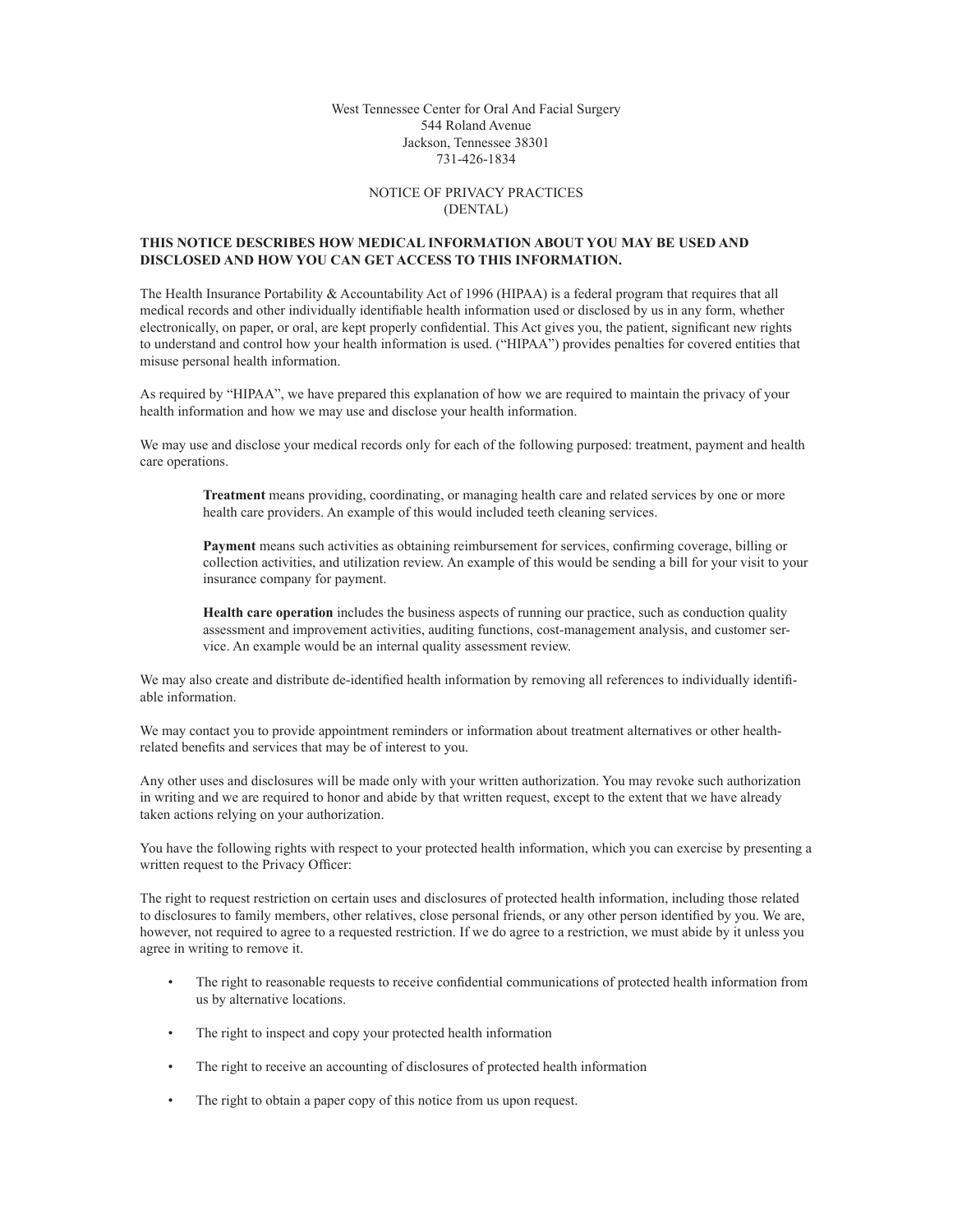West Tennessee Center for Oral And Facial Surgery 544 Roland Avenue Jackson, Tennessee 38301 731-426-1834

## Notice Of Privacy Practices (DENTAL)

## **This Notice describes how medical information about you may be used and disclosed and how you can get access to this information.**

The Health Insurance Portability & Accountability Act of 1996 (HIPAA) is a federal program that requires that all medical records and other individually identifiable health information used or disclosed by us in any form, whether electronically, on paper, or oral, are kept properly confidential. This Act gives you, the patient, significant new rights to understand and control how your health information is used. ("HIPAA") provides penalties for covered entities that misuse personal health information.

As required by "HIPAA", we have prepared this explanation of how we are required to maintain the privacy of your health information and how we may use and disclose your health information.

We may use and disclose your medical records only for each of the following purposed: treatment, payment and health care operations.

**Treatment** means providing, coordinating, or managing health care and related services by one or more health care providers. An example of this would included teeth cleaning services.

**Payment** means such activities as obtaining reimbursement for services, confirming coverage, billing or collection activities, and utilization review. An example of this would be sending a bill for your visit to your insurance company for payment.

**Health care operation** includes the business aspects of running our practice, such as conduction quality assessment and improvement activities, auditing functions, cost-management analysis, and customer service. An example would be an internal quality assessment review.

We may also create and distribute de-identified health information by removing all references to individually identifiable information.

We may contact you to provide appointment reminders or information about treatment alternatives or other healthrelated benefits and services that may be of interest to you.

Any other uses and disclosures will be made only with your written authorization. You may revoke such authorization in writing and we are required to honor and abide by that written request, except to the extent that we have already taken actions relying on your authorization.

You have the following rights with respect to your protected health information, which you can exercise by presenting a written request to the Privacy Officer:

The right to request restriction on certain uses and disclosures of protected health information, including those related to disclosures to family members, other relatives, close personal friends, or any other person identified by you. We are, however, not required to agree to a requested restriction. If we do agree to a restriction, we must abide by it unless you agree in writing to remove it.

- The right to reasonable requests to receive confidential communications of protected health information from us by alternative locations.
- The right to inspect and copy your protected health information
- The right to receive an accounting of disclosures of protected health information
- The right to obtain a paper copy of this notice from us upon request.